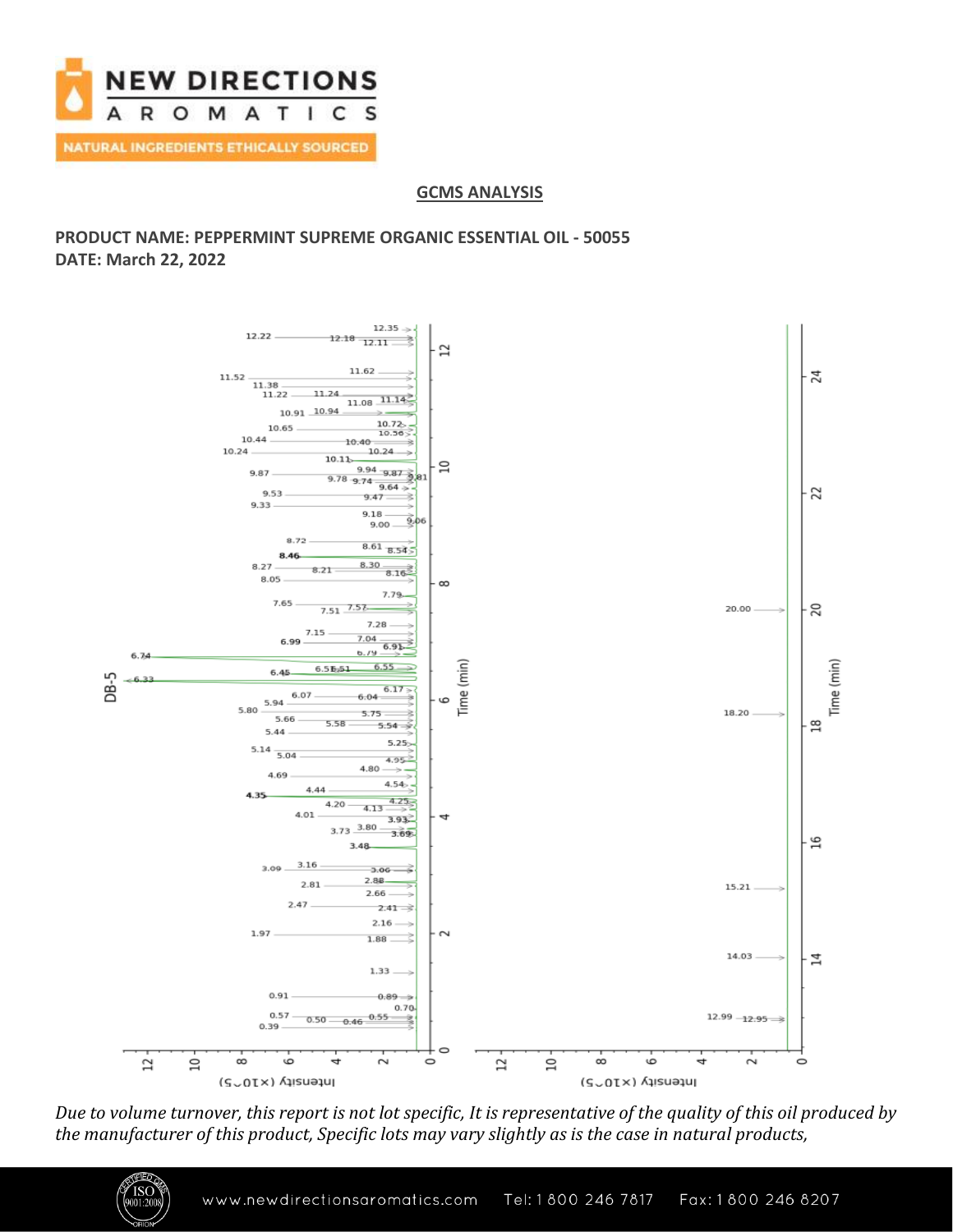

# **GCMS ANALYSIS**

**PRODUCT NAME: PEPPERMINT SUPREME ORGANIC ESSENTIAL OIL - 50055 DATE: March 22, 2022**



*Due to volume turnover, this report is not lot specific, It is representative of the quality of this oil produced by the manufacturer of this product, Specific lots may vary slightly as is the case in natural products,*

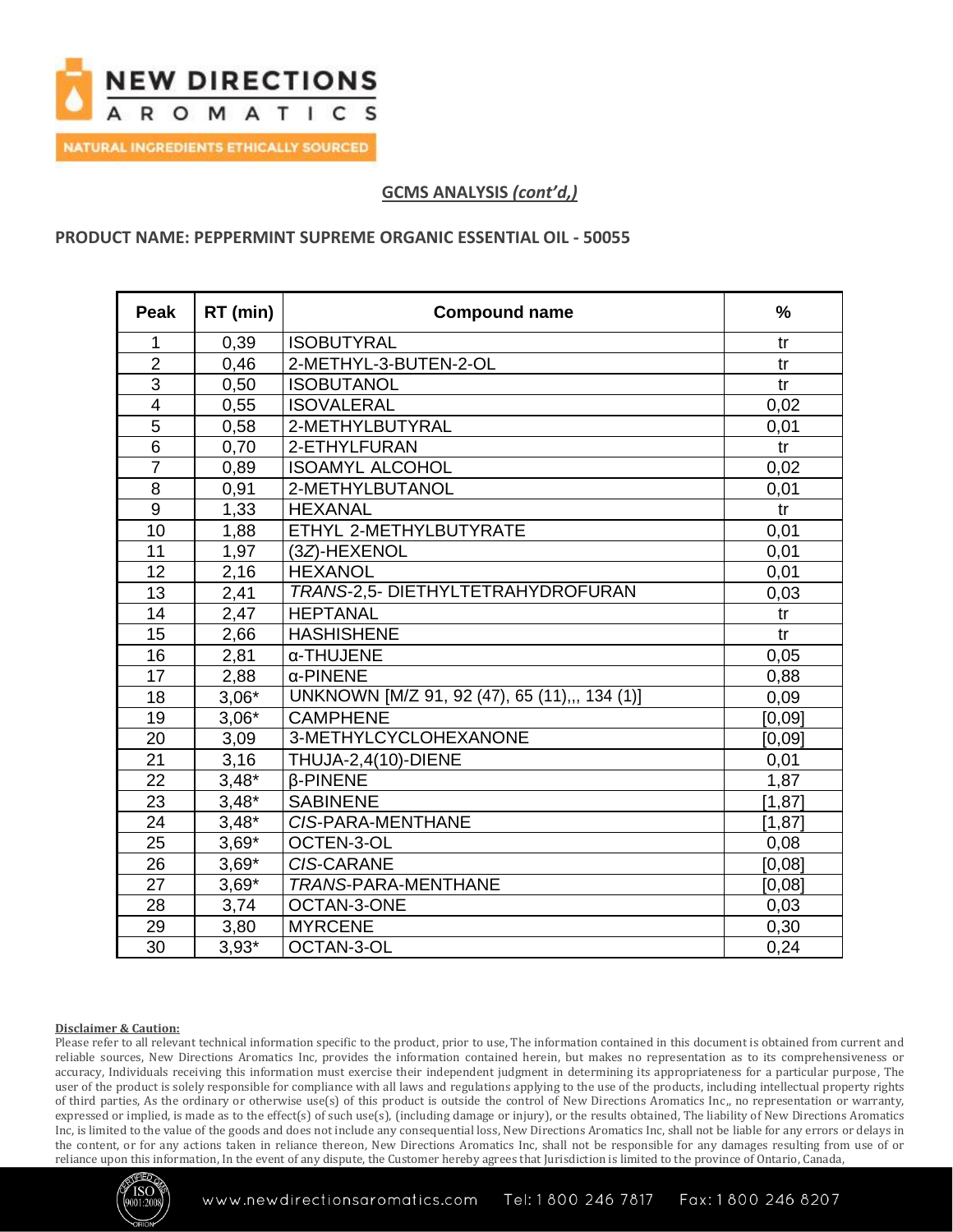

**GCMS ANALYSIS** *(cont'd,)*

## **PRODUCT NAME: PEPPERMINT SUPREME ORGANIC ESSENTIAL OIL - 50055**

| <b>Peak</b>    | RT (min) | <b>Compound name</b>                          | $\frac{0}{0}$ |
|----------------|----------|-----------------------------------------------|---------------|
| 1              | 0,39     | <b>ISOBUTYRAL</b>                             | tr            |
| $\overline{2}$ | 0,46     | 2-METHYL-3-BUTEN-2-OL                         | tr            |
| $\overline{3}$ | 0,50     | <b>ISOBUTANOL</b>                             | tr            |
| $\overline{4}$ | 0,55     | <b>ISOVALERAL</b>                             | 0,02          |
| $\overline{5}$ | 0,58     | 2-METHYLBUTYRAL                               | 0,01          |
| $\overline{6}$ | 0,70     | 2-ETHYLFURAN                                  | tr            |
| $\overline{7}$ | 0,89     | <b>ISOAMYL ALCOHOL</b>                        | 0,02          |
| $\overline{8}$ | 0,91     | 2-METHYLBUTANOL                               | 0,01          |
| 9              | 1,33     | <b>HEXANAL</b>                                | tr            |
| 10             | 1,88     | ETHYL 2-METHYLBUTYRATE                        | 0,01          |
| 11             | 1,97     | (3Z)-HEXENOL                                  | 0,01          |
| 12             | 2,16     | <b>HEXANOL</b>                                | 0,01          |
| 13             | 2,41     | TRANS-2,5- DIETHYLTETRAHYDROFURAN             | 0,03          |
| 14             | 2,47     | <b>HEPTANAL</b>                               | tr            |
| 15             | 2,66     | <b>HASHISHENE</b>                             | tr            |
| 16             | 2,81     | α-THUJENE                                     | 0,05          |
| 17             | 2,88     | $\alpha$ -PINENE                              | 0,88          |
| 18             | $3,06*$  | UNKNOWN [M/Z 91, 92 (47), 65 (11),,, 134 (1)] | 0,09          |
| 19             | $3,06*$  | <b>CAMPHENE</b>                               | [0,09]        |
| 20             | 3,09     | 3-METHYLCYCLOHEXANONE                         | [0,09]        |
| 21             | 3,16     | THUJA-2,4(10)-DIENE                           | 0,01          |
| 22             | $3,48*$  | <b>B-PINENE</b>                               | 1,87          |
| 23             | $3,48*$  | <b>SABINENE</b>                               | [1, 87]       |
| 24             | $3,48*$  | CIS-PARA-MENTHANE                             | [1, 87]       |
| 25             | $3,69*$  | OCTEN-3-OL                                    | 0,08          |
| 26             | $3,69*$  | <b>CIS-CARANE</b>                             | [0,08]        |
| 27             | $3,69*$  | <b>TRANS-PARA-MENTHANE</b>                    | [0,08]        |
| 28             | 3,74     | OCTAN-3-ONE                                   | 0,03          |
| 29             | 3,80     | <b>MYRCENE</b>                                | 0,30          |
| 30             | $3,93*$  | OCTAN-3-OL                                    | 0,24          |

### **Disclaimer & Caution:**

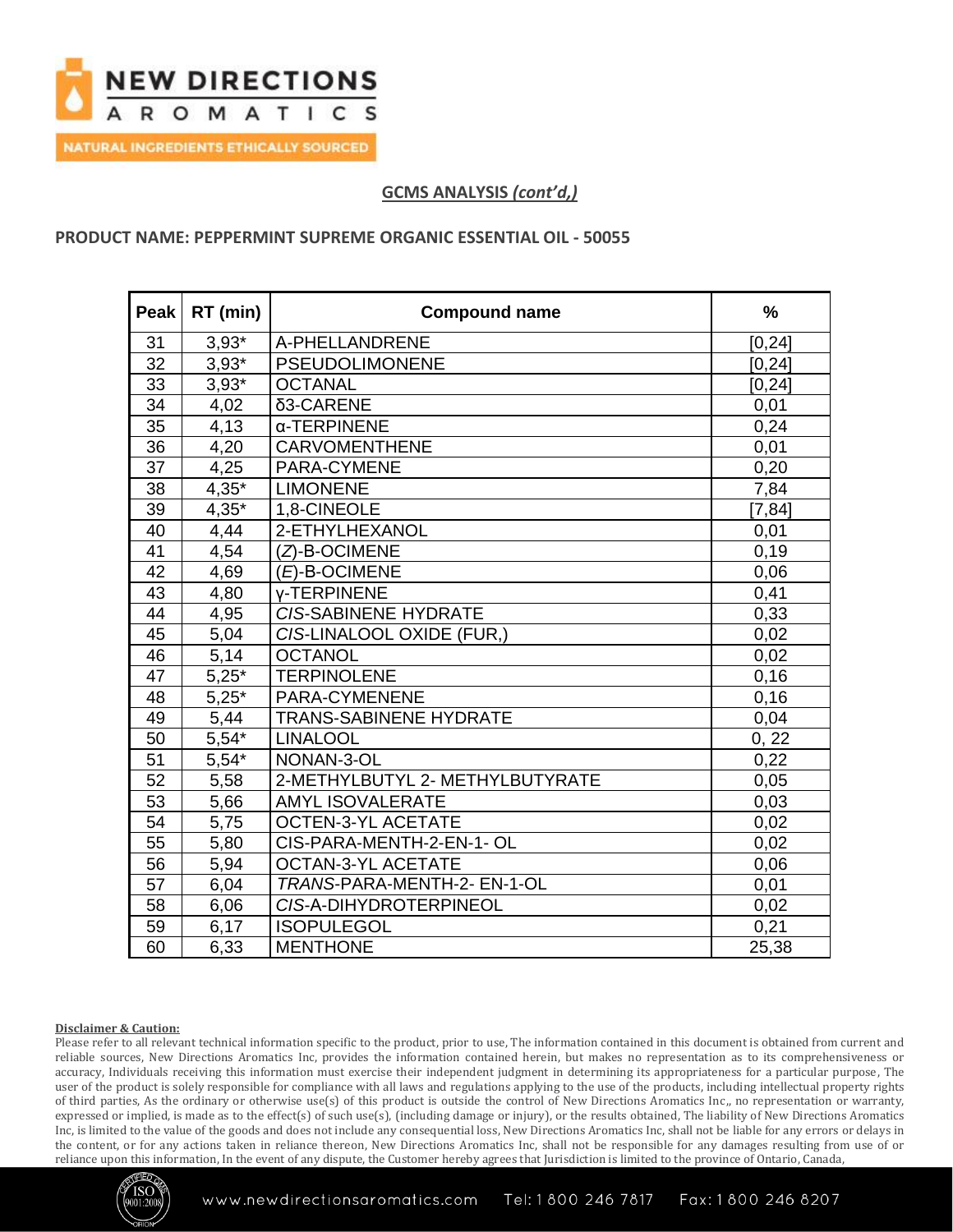

**GCMS ANALYSIS** *(cont'd,)*

## **PRODUCT NAME: PEPPERMINT SUPREME ORGANIC ESSENTIAL OIL - 50055**

| <b>Peak</b>     | RT (min) | <b>Compound name</b>            | $\frac{9}{6}$ |
|-----------------|----------|---------------------------------|---------------|
| 31              | $3,93*$  | A-PHELLANDRENE                  | [0, 24]       |
| 32              | $3.93*$  | <b>PSEUDOLIMONENE</b>           | [0, 24]       |
| 33              | $3,93*$  | <b>OCTANAL</b>                  | [0, 24]       |
| 34              | 4,02     | δ3-CARENE                       | 0,01          |
| 35              | 4,13     | α-TERPINENE                     | 0,24          |
| 36              | 4,20     | <b>CARVOMENTHENE</b>            | 0,01          |
| 37              | 4,25     | PARA-CYMENE                     | 0,20          |
| 38              | $4,35*$  | <b>LIMONENE</b>                 | 7,84          |
| 39              | $4,35*$  | 1,8-CINEOLE                     | [7, 84]       |
| 40              | 4,44     | 2-ETHYLHEXANOL                  | 0,01          |
| 41              | 4,54     | (Z)-B-OCIMENE                   | 0,19          |
| 42              | 4,69     | $(E)$ -B-OCIMENE                | 0,06          |
| 43              | 4,80     | <b>v-TERPINENE</b>              | 0,41          |
| 44              | 4,95     | <b>CIS-SABINENE HYDRATE</b>     | 0,33          |
| 45              | 5,04     | CIS-LINALOOL OXIDE (FUR,)       | 0,02          |
| 46              | 5,14     | <b>OCTANOL</b>                  | 0,02          |
| 47              | $5,25*$  | <b>TERPINOLENE</b>              | 0,16          |
| 48              | $5,25*$  | PARA-CYMENENE                   | 0,16          |
| 49              | 5,44     | <b>TRANS-SABINENE HYDRATE</b>   | 0,04          |
| 50              | $5.54*$  | <b>LINALOOL</b>                 | 0, 22         |
| 51              | $5,54*$  | NONAN-3-OL                      | 0,22          |
| 52              | 5,58     | 2-METHYLBUTYL 2- METHYLBUTYRATE | 0,05          |
| 53              | 5,66     | <b>AMYL ISOVALERATE</b>         | 0,03          |
| 54              | 5,75     | <b>OCTEN-3-YL ACETATE</b>       | 0,02          |
| 55              | 5,80     | CIS-PARA-MENTH-2-EN-1- OL       | 0,02          |
| $\overline{56}$ | 5,94     | <b>OCTAN-3-YL ACETATE</b>       | 0,06          |
| 57              | 6,04     | TRANS-PARA-MENTH-2- EN-1-OL     | 0,01          |
| 58              | 6,06     | CIS-A-DIHYDROTERPINEOL          | 0,02          |
| 59              | 6.17     | <b>ISOPULEGOL</b>               | 0,21          |
| 60              | 6,33     | <b>MENTHONE</b>                 | 25,38         |

### **Disclaimer & Caution:**

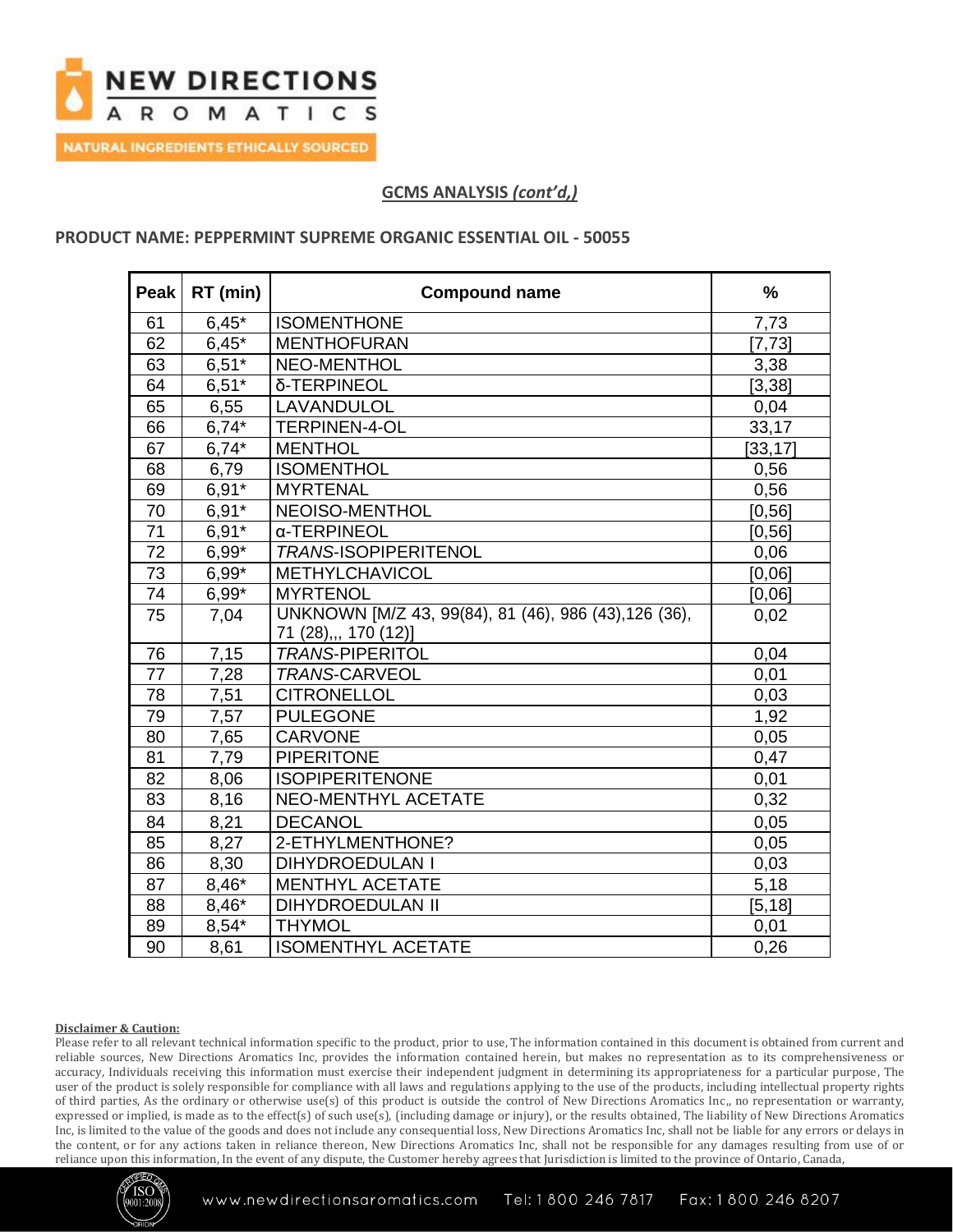

**NATURAL INGREDIENTS ETHICALLY SOURCED** 

# **GCMS ANALYSIS** *(cont'd,)*

## **PRODUCT NAME: PEPPERMINT SUPREME ORGANIC ESSENTIAL OIL - 50055**

| <b>Peak</b>     | RT (min) | <b>Compound name</b>                                                          | $\frac{9}{6}$ |
|-----------------|----------|-------------------------------------------------------------------------------|---------------|
| 61              | $6,45*$  | <b>ISOMENTHONE</b>                                                            | 7,73          |
| 62              | $6.45*$  | <b>MENTHOFURAN</b>                                                            | [7, 73]       |
| 63              | $6.51*$  | <b>NEO-MENTHOL</b>                                                            | 3,38          |
| 64              | $6,51*$  | δ-TERPINEOL                                                                   | [3, 38]       |
| 65              | 6,55     | LAVANDULOL                                                                    | 0,04          |
| 66              | $6,74*$  | TERPINEN-4-OL                                                                 | 33,17         |
| 67              | $6,74*$  | <b>MENTHOL</b>                                                                | [33, 17]      |
| 68              | 6,79     | <b>ISOMENTHOL</b>                                                             | 0,56          |
| 69              | $6,91*$  | <b>MYRTENAL</b>                                                               | 0,56          |
| 70              | $6,91*$  | NEOISO-MENTHOL                                                                | [0, 56]       |
| $\overline{71}$ | $6,91*$  | α-TERPINEOL                                                                   | [0, 56]       |
| 72              | $6,99*$  | <b>TRANS-ISOPIPERITENOL</b>                                                   | 0,06          |
| 73              | $6,99*$  | METHYLCHAVICOL                                                                | [0,06]        |
| 74              | $6,99*$  | <b>MYRTENOL</b>                                                               | [0,06]        |
| 75              | 7,04     | UNKNOWN [M/Z 43, 99(84), 81 (46), 986 (43), 126 (36),<br>71 (28),,, 170 (12)] | 0,02          |
| 76              | 7,15     | <b>TRANS-PIPERITOL</b>                                                        | 0,04          |
| 77              | 7,28     | <b>TRANS-CARVEOL</b>                                                          | 0,01          |
| $\overline{78}$ | 7,51     | <b>CITRONELLOL</b>                                                            | 0,03          |
| 79              | 7,57     | <b>PULEGONE</b>                                                               | 1,92          |
| 80              | 7,65     | <b>CARVONE</b>                                                                | 0,05          |
| 81              | 7,79     | <b>PIPERITONE</b>                                                             | 0,47          |
| 82              | 8,06     | <b>ISOPIPERITENONE</b>                                                        | 0,01          |
| 83              | 8,16     | NEO-MENTHYL ACETATE                                                           | 0,32          |
| 84              | 8,21     | <b>DECANOL</b>                                                                | 0,05          |
| 85              | 8,27     | 2-ETHYLMENTHONE?                                                              | 0,05          |
| 86              | 8,30     | <b>DIHYDROEDULAN I</b>                                                        | 0,03          |
| 87              | $8,46*$  | <b>MENTHYL ACETATE</b>                                                        | 5,18          |
| 88              | $8,46*$  | <b>DIHYDROEDULAN II</b>                                                       | [5, 18]       |
| 89              | $8,54*$  | <b>THYMOL</b>                                                                 | 0,01          |
| 90              | 8,61     | <b>ISOMENTHYL ACETATE</b>                                                     | 0,26          |

#### **Disclaimer & Caution:**

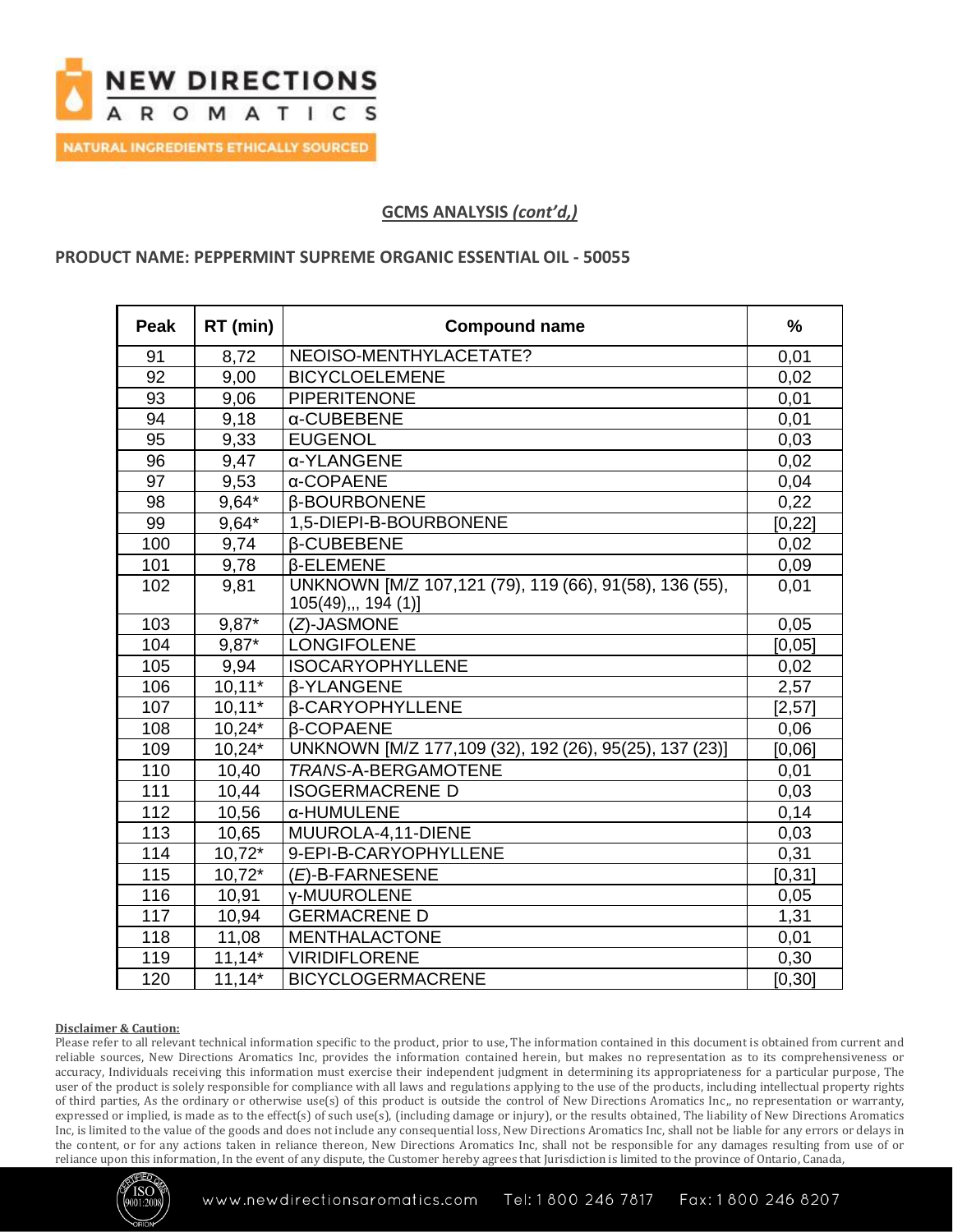

**GCMS ANALYSIS** *(cont'd,)*

# **PRODUCT NAME: PEPPERMINT SUPREME ORGANIC ESSENTIAL OIL - 50055**

| <b>Peak</b>     | RT (min) | <b>Compound name</b>                                   | $\frac{0}{0}$ |
|-----------------|----------|--------------------------------------------------------|---------------|
| 91              | 8,72     | NEOISO-MENTHYLACETATE?                                 | 0,01          |
| $\overline{92}$ | 9,00     | <b>BICYCLOELEMENE</b>                                  | 0,02          |
| 93              | 9,06     | <b>PIPERITENONE</b>                                    | 0,01          |
| 94              | 9,18     | α-CUBEBENE                                             | 0,01          |
| 95              | 9,33     | <b>EUGENOL</b>                                         | 0,03          |
| 96              | 9,47     | α-YLANGENE                                             | 0,02          |
| 97              | 9,53     | α-COPAENE                                              | 0,04          |
| 98              | $9,64*$  | <b>B-BOURBONENE</b>                                    | 0,22          |
| 99              | $9,64*$  | 1,5-DIEPI-B-BOURBONENE                                 | [0, 22]       |
| 100             | 9,74     | <b>B-CUBEBENE</b>                                      | 0,02          |
| 101             | 9,78     | <b>B-ELEMENE</b>                                       | 0,09          |
| 102             | 9,81     | UNKNOWN [M/Z 107,121 (79), 119 (66), 91(58), 136 (55), | 0,01          |
|                 |          | 105(49), 194(1)                                        |               |
| 103             | $9,87*$  | (Z)-JASMONE                                            | 0,05          |
| 104             | $9,87*$  | <b>LONGIFOLENE</b>                                     | [0,05]        |
| 105             | 9,94     | <b>ISOCARYOPHYLLENE</b>                                | 0,02          |
| 106             | $10,11*$ | <b>B-YLANGENE</b>                                      | 2,57          |
| 107             | $10,11*$ | <b><i>B-CARYOPHYLLENE</i></b>                          | [2, 57]       |
| 108             | $10,24*$ | <b>B-COPAENE</b>                                       | 0,06          |
| 109             | $10,24*$ | UNKNOWN [M/Z 177,109 (32), 192 (26), 95(25), 137 (23)] | [0,06]        |
| 110             | 10,40    | TRANS-A-BERGAMOTENE                                    | 0,01          |
| 111             | 10,44    | <b>ISOGERMACRENE D</b>                                 | 0,03          |
| 112             | 10,56    | α-HUMULENE                                             | 0,14          |
| 113             | 10,65    | MUUROLA-4,11-DIENE                                     | 0,03          |
| 114             | $10,72*$ | 9-EPI-B-CARYOPHYLLENE                                  | 0,31          |
| 115             | $10,72*$ | $(E)$ -B-FARNESENE                                     | [0, 31]       |
| 116             | 10,91    | <b>v-MUUROLENE</b>                                     | 0,05          |
| 117             | 10,94    | <b>GERMACRENE D</b>                                    | 1,31          |
| 118             | 11,08    | <b>MENTHALACTONE</b>                                   | 0,01          |
| 119             | $11,14*$ | <b>VIRIDIFLORENE</b>                                   | 0,30          |
| 120             | $11,14*$ | <b>BICYCLOGERMACRENE</b>                               | [0, 30]       |

### **Disclaimer & Caution:**